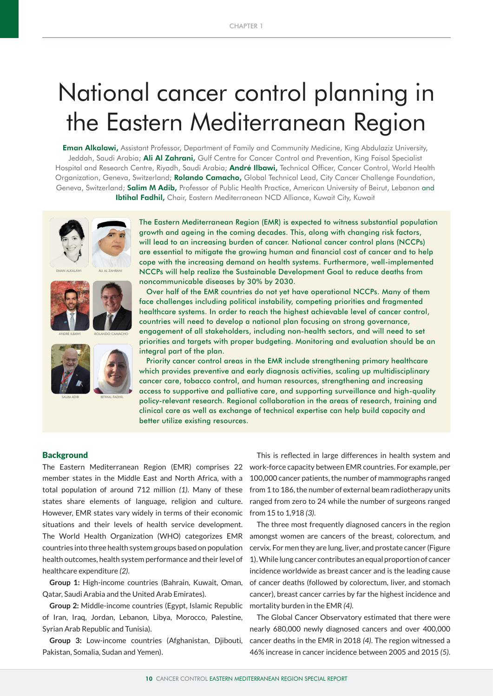# National cancer control planning in the Eastern Mediterranean Region

**Eman Alkalawi,** Assistant Professor, Department of Family and Community Medicine, King Abdulaziz University, Jeddah, Saudi Arabia; Ali Al Zahrani, Gulf Centre for Cancer Control and Prevention, King Faisal Specialist Hospital and Research Centre, Riyadh, Saudi Arabia; André Ilbawi, Technical Officer, Cancer Control, World Health Organization, Geneva, Switzerland; Rolando Camacho, Global Technical Lead, City Cancer Challenge Foundation, Geneva, Switzerland; **Salim M Adib,** Professor of Public Health Practice, American University of Beirut, Lebanon and Ibtihal Fadhil, Chair, Eastern Mediterranean NCD Alliance, Kuwait City, Kuwait



The Eastern Mediterranean Region (EMR) is expected to witness substantial population growth and ageing in the coming decades. This, along with changing risk factors, will lead to an increasing burden of cancer. National cancer control plans (NCCPs) are essential to mitigate the growing human and financial cost of cancer and to help cope with the increasing demand on health systems. Furthermore, well-implemented NCCPs will help realize the Sustainable Development Goal to reduce deaths from noncommunicable diseases by 30% by 2030.

Over half of the EMR countries do not yet have operational NCCPs. Many of them face challenges including political instability, competing priorities and fragmented healthcare systems. In order to reach the highest achievable level of cancer control, countries will need to develop a national plan focusing on strong governance, engagement of all stakeholders, including non-health sectors, and will need to set priorities and targets with proper budgeting. Monitoring and evaluation should be an integral part of the plan.

Priority cancer control areas in the EMR include strengthening primary healthcare which provides preventive and early diagnosis activities, scaling up multidisciplinary cancer care, tobacco control, and human resources, strengthening and increasing access to supportive and palliative care, and supporting surveillance and high-quality policy-relevant research. Regional collaboration in the areas of research, training and clinical care as well as exchange of technical expertise can help build capacity and better utilize existing resources.

## **Background**

member states in the Middle East and North Africa, with a total population of around 712 million *(1)*. Many of these states share elements of language, religion and culture. However, EMR states vary widely in terms of their economic situations and their levels of health service development. The World Health Organization (WHO) categorizes EMR countries into three health system groups based on population health outcomes, health system performance and their level of healthcare expenditure *(2)*.

**Group 1:** High-income countries (Bahrain, Kuwait, Oman, Qatar, Saudi Arabia and the United Arab Emirates).

**Group 2:** Middle-income countries (Egypt, Islamic Republic of Iran, Iraq, Jordan, Lebanon, Libya, Morocco, Palestine, Syrian Arab Republic and Tunisia).

**Group 3:** Low-income countries (Afghanistan, Djibouti, Pakistan, Somalia, Sudan and Yemen).

The Eastern Mediterranean Region (EMR) comprises 22 work-force capacity between EMR countries. For example, per This is reflected in large differences in health system and 100,000 cancer patients, the number of mammographs ranged from 1 to 186, the number of external beam radiotherapy units ranged from zero to 24 while the number of surgeons ranged from 15 to 1,918 *(3)*.

> The three most frequently diagnosed cancers in the region amongst women are cancers of the breast, colorectum, and cervix. For men they are lung, liver, and prostate cancer (Figure 1). While lung cancer contributes an equal proportion of cancer incidence worldwide as breast cancer and is the leading cause of cancer deaths (followed by colorectum, liver, and stomach cancer), breast cancer carries by far the highest incidence and mortality burden in the EMR *(4)*.

> The Global Cancer Observatory estimated that there were nearly 680,000 newly diagnosed cancers and over 400,000 cancer deaths in the EMR in 2018 *(4)*. The region witnessed a 46% increase in cancer incidence between 2005 and 2015 *(5)*.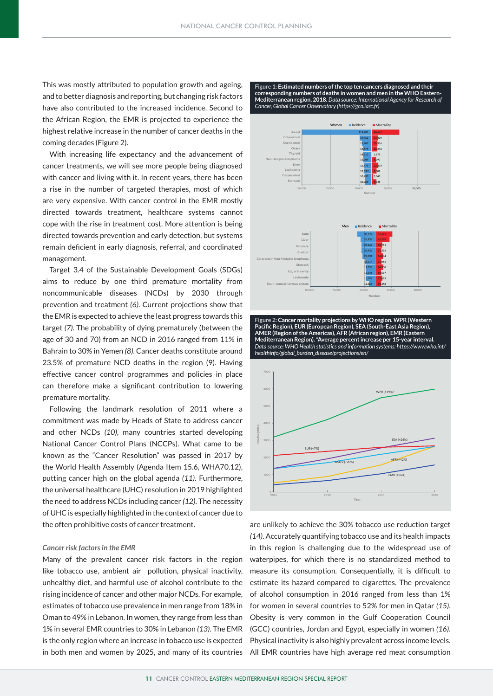This was mostly attributed to population growth and ageing, and to better diagnosis and reporting, but changing risk factors have also contributed to the increased incidence. Second to the African Region, the EMR is projected to experience the **2012 (5 registries)** highest relative increase in the number of cancer deaths in the **2013 (7 registries)** coming decades (Figure 2). **80 2014 (10 registries)**

With increasing life expectancy and the advancement of **2015 (24 registries)** cancer treatments, we will see more people being diagnosed **60 2016 (38 registries)** with cancer and living with it. In recent years, there has been **2017 (24 registries)** a rise in the number of targeted therapies, most of which **43** are very expensive. With cancer control in the EMR mostly **40** directed towards treatment, healthcare systems cannot cope with the rise in treatment cost. More attention is being **20 20 20 17 20** directed towards prevention and early detection, but systems **10 13 13** remain deficient in early diagnosis, referral, and coordinated **4 5 4** management. **0 8 8 Percentage of registries**

Target 3.4 of the Sustainable Development Goals (SDGs) aims to reduce by one third premature mortality from noncommunicable diseases (NCDs) by 2030 through prevention and treatment *(6)*. Current projections show that the EMR is expected to achieve the least progress towards this target *(7).* The probability of dying prematurely (between the age of 30 and 70) from an NCD in 2016 ranged from 11% in Bahrain to 30% in Yemen *(8)*. Cancer deaths constitute around 23.5% of premature NCD deaths in the region (9). Having effective cancer control programmes and policies in place can therefore make a significant contribution to lowering premature mortality.

Following the landmark resolution of 2011 where a **8,945 3,343 10,089 10,933 Corpus uteri Stomach** commitment was made by Heads of State to address cancer and other NCDs *(10)*, many countries started developing National Cancer Control Plans (NCCPs). What came to be known as the "Cancer Resolution" was passed in 2017 by the World Health Assembly (Agenda Item 15.6, WHA70.12), putting cancer high on the global agenda (11). Furthermore, the universal healthcare (UHC) resolution in 2019 highlighted **10,597 14,500 17,045 17,353 Stomach Lip, oral cavity** the need to address NCDs including cancer (12). The necessity of UHC is especially highlighted in the context of cancer due to the often prohibitive costs of cancer treatment. "Cancer Resolution" was

#### *Cancer risk factors in the EMR*

Many of the prevalent cancer risk factors in the region like tobacco use, ambient air pollution, physical inactivity, unhealthy diet, and harmful use of alcohol contribute to the rising incidence of cancer and other major NCDs. For example, estimates of tobacco use prevalence in men range from 18% in Oman to 49% in Lebanon. In women, they range from less than 1% in several EMR countries to 30% in Lebanon *(13)*. The EMR is the only region where an increase in tobacco use is expected **Figure 1: Estimated numbers of the top ten cancers diagnosed and their corresponding numbers of deaths in women and men in the WHO Eastern-Mediterranean region, 2018.** *Data source: International Agency for Research of Cancer, Global Cancer Observatory (https://gco.iarc.fr)*



**Figure 2: Cancer mortality projections by WHO region. WPR (Western Pacific Region), EUR (European Region), SEA (South-East Asia Region), AMER (Region of the Americas), AFR (African region), EMR (Eastern Mediterranean Region). \*Average percent increase per 15-year interval.**  *Data source: WHO Health statistics and information systems: https://www.who.int/ healthinfo/global\_burden\_disease/projections/en/*



in both men and women by 2025, and many of its countries All EMR countries have high average red meat consumption are unlikely to achieve the 30% tobacco use reduction target *(14)*. Accurately quantifying tobacco use and its health impacts in this region is challenging due to the widespread use of waterpipes, for which there is no standardized method to measure its consumption. Consequentially, it is difficult to estimate its hazard compared to cigarettes. The prevalence of alcohol consumption in 2016 ranged from less than 1% for women in several countries to 52% for men in Qatar *(15)*. Obesity is very common in the Gulf Cooperation Council (GCC) countries, Jordan and Egypt, especially in women *(16)*. Physical inactivity is also highly prevalent across income levels.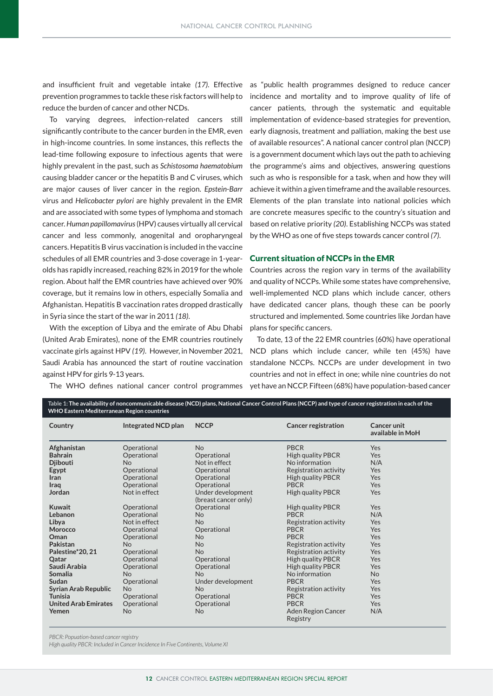and insufficient fruit and vegetable intake *(17)*. Effective as "public health programmes designed to reduce cancer reduce the burden of cancer and other NCDs.

To varying degrees, infection-related cancers still significantly contribute to the cancer burden in the EMR, even in high-income countries. In some instances, this reflects the lead-time following exposure to infectious agents that were highly prevalent in the past, such as *Schistosoma haematobium*  causing bladder cancer or the hepatitis B and C viruses, which are major causes of liver cancer in the region. *Epstein-Barr* virus and *Helicobacter pylori* are highly prevalent in the EMR and are associated with some types of lymphoma and stomach cancer. *Human papillomavirus* (HPV) causes virtually all cervical cancer and less commonly, anogenital and oropharyngeal cancers. Hepatitis B virus vaccination is included in the vaccine schedules of all EMR countries and 3-dose coverage in 1-yearolds has rapidly increased, reaching 82% in 2019 for the whole region. About half the EMR countries have achieved over 90% coverage, but it remains low in others, especially Somalia and Afghanistan. Hepatitis B vaccination rates dropped drastically in Syria since the start of the war in 2011 *(18)*.

With the exception of Libya and the emirate of Abu Dhabi (United Arab Emirates), none of the EMR countries routinely vaccinate girls against HPV *(19)*. However, in November 2021, Saudi Arabia has announced the start of routine vaccination against HPV for girls 9-13 years.

prevention programmes to tackle these risk factors will help to incidence and mortality and to improve quality of life of cancer patients, through the systematic and equitable implementation of evidence-based strategies for prevention, early diagnosis, treatment and palliation, making the best use of available resources". A national cancer control plan (NCCP) is a government document which lays out the path to achieving the programme's aims and objectives, answering questions such as who is responsible for a task, when and how they will achieve it within a given timeframe and the available resources. Elements of the plan translate into national policies which are concrete measures specific to the country's situation and based on relative priority *(20)*. Establishing NCCPs was stated by the WHO as one of five steps towards cancer control *(7)*.

## Current situation of NCCPs in the EMR

Countries across the region vary in terms of the availability and quality of NCCPs. While some states have comprehensive, well-implemented NCD plans which include cancer, others have dedicated cancer plans, though these can be poorly structured and implemented. Some countries like Jordan have plans for specific cancers.

The WHO defines national cancer control programmes yet have an NCCP. Fifteen (68%) have population-based cancer To date, 13 of the 22 EMR countries (60%) have operational NCD plans which include cancer, while ten (45%) have standalone NCCPs. NCCPs are under development in two countries and not in effect in one; while nine countries do not

| Country                     | Integrated NCD plan | <b>NCCP</b>                               | <b>Cancer registration</b>     | Cancer unit<br>available in MoH |
|-----------------------------|---------------------|-------------------------------------------|--------------------------------|---------------------------------|
| Afghanistan                 | Operational         | <b>No</b>                                 | <b>PBCR</b>                    | <b>Yes</b>                      |
| <b>Bahrain</b>              | Operational         | Operational                               | <b>High quality PBCR</b>       | <b>Yes</b>                      |
| <b>Djibouti</b>             | <b>No</b>           | Not in effect                             | No information                 | N/A                             |
| Egypt                       | Operational         | Operational                               | Registration activity          | <b>Yes</b>                      |
| Iran                        | Operational         | Operational                               | <b>High quality PBCR</b>       | Yes                             |
| Iraq                        | Operational         | Operational                               | <b>PBCR</b>                    | <b>Yes</b>                      |
| Jordan                      | Not in effect       | Under development<br>(breast cancer only) | <b>High quality PBCR</b>       | Yes                             |
| <b>Kuwait</b>               | Operational         | Operational                               | <b>High quality PBCR</b>       | <b>Yes</b>                      |
| Lebanon                     | Operational         | <b>No</b>                                 | <b>PBCR</b>                    | N/A                             |
| Libya                       | Not in effect       | <b>No</b>                                 | Registration activity          | <b>Yes</b>                      |
| Morocco                     | Operational         | Operational                               | <b>PBCR</b>                    | <b>Yes</b>                      |
| Oman                        | Operational         | N <sub>o</sub>                            | <b>PBCR</b>                    | <b>Yes</b>                      |
| Pakistan                    | <b>No</b>           | <b>No</b>                                 | Registration activity          | Yes                             |
| Palestine*20, 21            | Operational         | <b>No</b>                                 | Registration activity          | <b>Yes</b>                      |
| Qatar                       | Operational         | Operational                               | <b>High quality PBCR</b>       | Yes                             |
| Saudi Arabia                | Operational         | Operational                               | <b>High quality PBCR</b>       | Yes                             |
| Somalia                     | <b>No</b>           | <b>No</b>                                 | No information                 | <b>No</b>                       |
| Sudan                       | Operational         | Under development                         | <b>PBCR</b>                    | Yes                             |
| Syrian Arab Republic        | No                  | <b>No</b>                                 | Registration activity          | <b>Yes</b>                      |
| <b>Tunisia</b>              | Operational         | Operational                               | <b>PBCR</b>                    | Yes                             |
| <b>United Arab Emirates</b> | Operational         | Operational                               | <b>PBCR</b>                    | <b>Yes</b>                      |
| Yemen                       | N <sub>o</sub>      | <b>No</b>                                 | Aden Region Cancer<br>Registry | N/A                             |

*PBCR: Popuation-based cancer registry*

*High quality PBCR: Included in Cancer Incidence In Five Continents, Volume XI*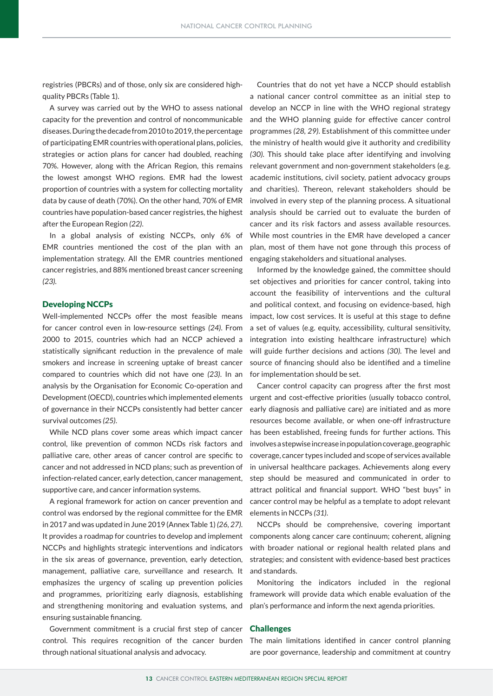registries (PBCRs) and of those, only six are considered highquality PBCRs (Table 1).

A survey was carried out by the WHO to assess national capacity for the prevention and control of noncommunicable diseases. During the decade from 2010 to 2019, the percentage of participating EMR countries with operational plans, policies, strategies or action plans for cancer had doubled, reaching 70%. However, along with the African Region, this remains the lowest amongst WHO regions. EMR had the lowest proportion of countries with a system for collecting mortality data by cause of death (70%). On the other hand, 70% of EMR countries have population-based cancer registries, the highest after the European Region *(22)*.

In a global analysis of existing NCCPs, only 6% of EMR countries mentioned the cost of the plan with an implementation strategy. All the EMR countries mentioned cancer registries, and 88% mentioned breast cancer screening *(23).*

## Developing NCCPs

Well-implemented NCCPs offer the most feasible means for cancer control even in low-resource settings *(24)*. From 2000 to 2015, countries which had an NCCP achieved a statistically significant reduction in the prevalence of male smokers and increase in screening uptake of breast cancer compared to countries which did not have one *(23)*. In an analysis by the Organisation for Economic Co-operation and Development (OECD), countries which implemented elements of governance in their NCCPs consistently had better cancer survival outcomes *(25)*.

While NCD plans cover some areas which impact cancer control, like prevention of common NCDs risk factors and palliative care, other areas of cancer control are specific to cancer and not addressed in NCD plans; such as prevention of infection-related cancer, early detection, cancer management, supportive care, and cancer information systems.

A regional framework for action on cancer prevention and control was endorsed by the regional committee for the EMR in 2017 and was updated in June 2019 (Annex Table 1) *(26, 27)*. It provides a roadmap for countries to develop and implement NCCPs and highlights strategic interventions and indicators in the six areas of governance, prevention, early detection, management, palliative care, surveillance and research. It emphasizes the urgency of scaling up prevention policies and programmes, prioritizing early diagnosis, establishing and strengthening monitoring and evaluation systems, and ensuring sustainable financing.

Government commitment is a crucial first step of cancer control. This requires recognition of the cancer burden through national situational analysis and advocacy.

Countries that do not yet have a NCCP should establish a national cancer control committee as an initial step to develop an NCCP in line with the WHO regional strategy and the WHO planning guide for effective cancer control programmes *(28, 29)*. Establishment of this committee under the ministry of health would give it authority and credibility *(30).* This should take place after identifying and involving relevant government and non-government stakeholders (e.g. academic institutions, civil society, patient advocacy groups and charities). Thereon, relevant stakeholders should be involved in every step of the planning process. A situational analysis should be carried out to evaluate the burden of cancer and its risk factors and assess available resources. While most countries in the EMR have developed a cancer plan, most of them have not gone through this process of engaging stakeholders and situational analyses.

Informed by the knowledge gained, the committee should set objectives and priorities for cancer control, taking into account the feasibility of interventions and the cultural and political context, and focusing on evidence-based, high impact, low cost services. It is useful at this stage to define a set of values (e.g. equity, accessibility, cultural sensitivity, integration into existing healthcare infrastructure) which will guide further decisions and actions *(30).* The level and source of financing should also be identified and a timeline for implementation should be set.

Cancer control capacity can progress after the first most urgent and cost-effective priorities (usually tobacco control, early diagnosis and palliative care) are initiated and as more resources become available, or when one-off infrastructure has been established, freeing funds for further actions. This involves a stepwise increase in population coverage, geographic coverage, cancer types included and scope of services available in universal healthcare packages. Achievements along every step should be measured and communicated in order to attract political and financial support. WHO "best buys" in cancer control may be helpful as a template to adopt relevant elements in NCCPs *(31)*.

NCCPs should be comprehensive, covering important components along cancer care continuum; coherent, aligning with broader national or regional health related plans and strategies; and consistent with evidence-based best practices and standards.

Monitoring the indicators included in the regional framework will provide data which enable evaluation of the plan's performance and inform the next agenda priorities.

## Challenges

The main limitations identified in cancer control planning are poor governance, leadership and commitment at country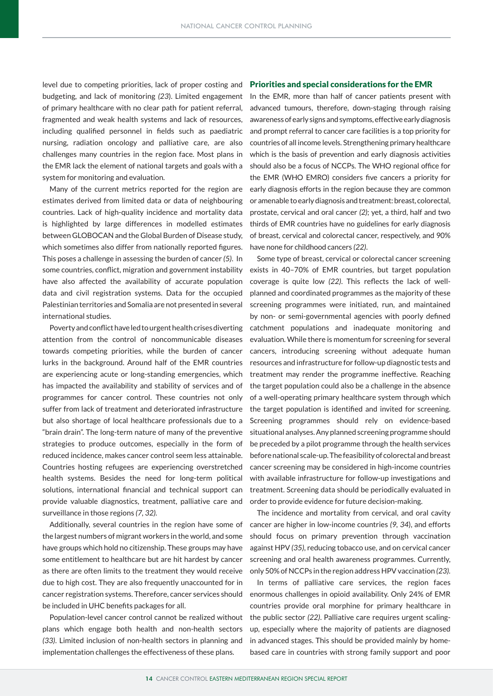level due to competing priorities, lack of proper costing and budgeting, and lack of monitoring *(23*). Limited engagement of primary healthcare with no clear path for patient referral, fragmented and weak health systems and lack of resources, including qualified personnel in fields such as paediatric nursing, radiation oncology and palliative care, are also challenges many countries in the region face. Most plans in the EMR lack the element of national targets and goals with a system for monitoring and evaluation.

Many of the current metrics reported for the region are estimates derived from limited data or data of neighbouring countries. Lack of high-quality incidence and mortality data is highlighted by large differences in modelled estimates between GLOBOCAN and the Global Burden of Disease study, which sometimes also differ from nationally reported figures. This poses a challenge in assessing the burden of cancer *(5)*. In some countries, conflict, migration and government instability have also affected the availability of accurate population data and civil registration systems. Data for the occupied Palestinian territories and Somalia are not presented in several international studies.

Poverty and conflict have led to urgent health crises diverting attention from the control of noncommunicable diseases towards competing priorities, while the burden of cancer lurks in the background. Around half of the EMR countries are experiencing acute or long-standing emergencies, which has impacted the availability and stability of services and of programmes for cancer control. These countries not only suffer from lack of treatment and deteriorated infrastructure but also shortage of local healthcare professionals due to a "brain drain". The long-term nature of many of the preventive strategies to produce outcomes, especially in the form of reduced incidence, makes cancer control seem less attainable. Countries hosting refugees are experiencing overstretched health systems. Besides the need for long-term political solutions, international financial and technical support can provide valuable diagnostics, treatment, palliative care and surveillance in those regions *(7, 32).* 

Additionally, several countries in the region have some of the largest numbers of migrant workers in the world, and some have groups which hold no citizenship. These groups may have some entitlement to healthcare but are hit hardest by cancer as there are often limits to the treatment they would receive due to high cost. They are also frequently unaccounted for in cancer registration systems. Therefore, cancer services should be included in UHC benefits packages for all.

Population-level cancer control cannot be realized without plans which engage both health and non-health sectors *(33)*. Limited inclusion of non-health sectors in planning and implementation challenges the effectiveness of these plans.

### Priorities and special considerations for the EMR

In the EMR, more than half of cancer patients present with advanced tumours, therefore, down-staging through raising awareness of early signs and symptoms, effective early diagnosis and prompt referral to cancer care facilities is a top priority for countries of all income levels. Strengthening primary healthcare which is the basis of prevention and early diagnosis activities should also be a focus of NCCPs. The WHO regional office for the EMR (WHO EMRO) considers five cancers a priority for early diagnosis efforts in the region because they are common or amenable to early diagnosis and treatment: breast, colorectal, prostate, cervical and oral cancer *(2)*; yet, a third, half and two thirds of EMR countries have no guidelines for early diagnosis of breast, cervical and colorectal cancer, respectively, and 90% have none for childhood cancers *(22)*.

Some type of breast, cervical or colorectal cancer screening exists in 40–70% of EMR countries, but target population coverage is quite low *(22)*. This reflects the lack of wellplanned and coordinated programmes as the majority of these screening programmes were initiated, run, and maintained by non- or semi-governmental agencies with poorly defined catchment populations and inadequate monitoring and evaluation. While there is momentum for screening for several cancers, introducing screening without adequate human resources and infrastructure for follow-up diagnostic tests and treatment may render the programme ineffective. Reaching the target population could also be a challenge in the absence of a well-operating primary healthcare system through which the target population is identified and invited for screening. Screening programmes should rely on evidence-based situational analyses. Any planned screening programme should be preceded by a pilot programme through the health services before national scale-up. The feasibility of colorectal and breast cancer screening may be considered in high-income countries with available infrastructure for follow-up investigations and treatment. Screening data should be periodically evaluated in order to provide evidence for future decision-making.

The incidence and mortality from cervical, and oral cavity cancer are higher in low-income countries *(9, 34*), and efforts should focus on primary prevention through vaccination against HPV *(35)*, reducing tobacco use, and on cervical cancer screening and oral health awareness programmes. Currently, only 50% of NCCPs in the region address HPV vaccination *(23).* 

In terms of palliative care services, the region faces enormous challenges in opioid availability. Only 24% of EMR countries provide oral morphine for primary healthcare in the public sector *(22)*. Palliative care requires urgent scalingup, especially where the majority of patients are diagnosed in advanced stages. This should be provided mainly by homebased care in countries with strong family support and poor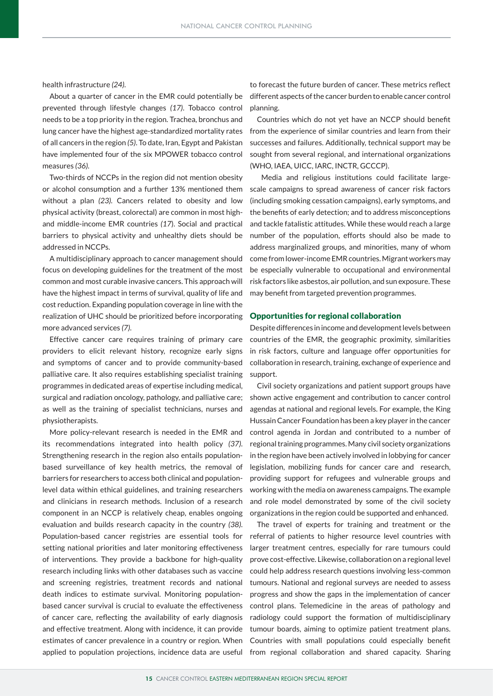health infrastructure *(24)*.

About a quarter of cancer in the EMR could potentially be prevented through lifestyle changes *(17)*. Tobacco control needs to be a top priority in the region. Trachea, bronchus and lung cancer have the highest age-standardized mortality rates of all cancers in the region *(5)*. To date, Iran, Egypt and Pakistan have implemented four of the six MPOWER tobacco control measures *(36).*

Two-thirds of NCCPs in the region did not mention obesity or alcohol consumption and a further 13% mentioned them without a plan *(23).* Cancers related to obesity and low physical activity (breast, colorectal) are common in most highand middle-income EMR countries *(17*). Social and practical barriers to physical activity and unhealthy diets should be addressed in NCCPs.

A multidisciplinary approach to cancer management should focus on developing guidelines for the treatment of the most common and most curable invasive cancers. This approach will have the highest impact in terms of survival, quality of life and cost reduction. Expanding population coverage in line with the realization of UHC should be prioritized before incorporating more advanced services *(7)*.

Effective cancer care requires training of primary care providers to elicit relevant history, recognize early signs and symptoms of cancer and to provide community-based palliative care. It also requires establishing specialist training programmes in dedicated areas of expertise including medical, surgical and radiation oncology, pathology, and palliative care; as well as the training of specialist technicians, nurses and physiotherapists.

More policy-relevant research is needed in the EMR and its recommendations integrated into health policy *(37)*. Strengthening research in the region also entails populationbased surveillance of key health metrics, the removal of barriers for researchers to access both clinical and populationlevel data within ethical guidelines, and training researchers and clinicians in research methods. Inclusion of a research component in an NCCP is relatively cheap, enables ongoing evaluation and builds research capacity in the country *(38)*. Population-based cancer registries are essential tools for setting national priorities and later monitoring effectiveness of interventions. They provide a backbone for high-quality research including links with other databases such as vaccine and screening registries, treatment records and national death indices to estimate survival. Monitoring populationbased cancer survival is crucial to evaluate the effectiveness of cancer care, reflecting the availability of early diagnosis and effective treatment. Along with incidence, it can provide estimates of cancer prevalence in a country or region. When applied to population projections, incidence data are useful from regional collaboration and shared capacity. Sharing

to forecast the future burden of cancer. These metrics reflect different aspects of the cancer burden to enable cancer control planning.

Countries which do not yet have an NCCP should benefit from the experience of similar countries and learn from their successes and failures. Additionally, technical support may be sought from several regional, and international organizations (WHO, IAEA, UICC, IARC, INCTR, GCCCP).

 Media and religious institutions could facilitate largescale campaigns to spread awareness of cancer risk factors (including smoking cessation campaigns), early symptoms, and the benefits of early detection; and to address misconceptions and tackle fatalistic attitudes. While these would reach a large number of the population, efforts should also be made to address marginalized groups, and minorities, many of whom come from lower-income EMR countries. Migrant workers may be especially vulnerable to occupational and environmental risk factors like asbestos, air pollution, and sun exposure. These may benefit from targeted prevention programmes.

## Opportunities for regional collaboration

Despite differences in income and development levels between countries of the EMR, the geographic proximity, similarities in risk factors, culture and language offer opportunities for collaboration in research, training, exchange of experience and support.

Civil society organizations and patient support groups have shown active engagement and contribution to cancer control agendas at national and regional levels. For example, the King Hussain Cancer Foundation has been a key player in the cancer control agenda in Jordan and contributed to a number of regional training programmes. Many civil society organizations in the region have been actively involved in lobbying for cancer legislation, mobilizing funds for cancer care and research, providing support for refugees and vulnerable groups and working with the media on awareness campaigns. The example and role model demonstrated by some of the civil society organizations in the region could be supported and enhanced.

The travel of experts for training and treatment or the referral of patients to higher resource level countries with larger treatment centres, especially for rare tumours could prove cost-effective. Likewise, collaboration on a regional level could help address research questions involving less-common tumours. National and regional surveys are needed to assess progress and show the gaps in the implementation of cancer control plans. Telemedicine in the areas of pathology and radiology could support the formation of multidisciplinary tumour boards, aiming to optimize patient treatment plans. Countries with small populations could especially benefit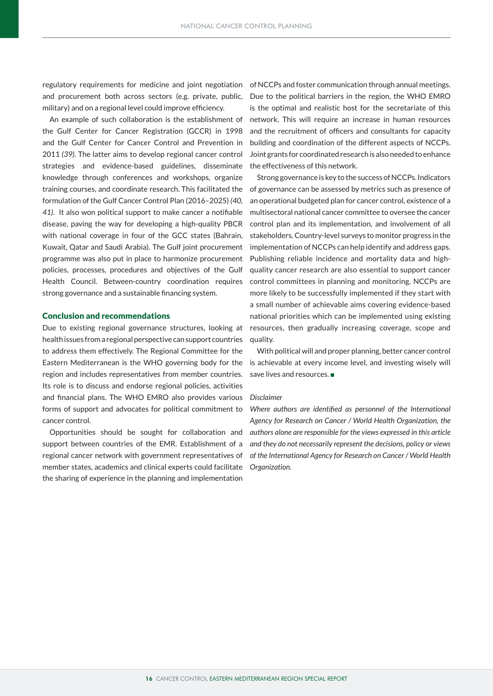and procurement both across sectors (e.g. private, public, military) and on a regional level could improve efficiency.

An example of such collaboration is the establishment of the Gulf Center for Cancer Registration (GCCR) in 1998 and the Gulf Center for Cancer Control and Prevention in 2011 *(39)*. The latter aims to develop regional cancer control strategies and evidence-based guidelines, disseminate knowledge through conferences and workshops, organize training courses, and coordinate research. This facilitated the formulation of the Gulf Cancer Control Plan (2016–2025) *(40, 41).* It also won political support to make cancer a notifiable disease, paving the way for developing a high-quality PBCR with national coverage in four of the GCC states (Bahrain, Kuwait, Qatar and Saudi Arabia). The Gulf joint procurement programme was also put in place to harmonize procurement policies, processes, procedures and objectives of the Gulf Health Council. Between-country coordination requires strong governance and a sustainable financing system.

## Conclusion and recommendations

Due to existing regional governance structures, looking at health issues from a regional perspective can support countries to address them effectively. The Regional Committee for the Eastern Mediterranean is the WHO governing body for the region and includes representatives from member countries. Its role is to discuss and endorse regional policies, activities and financial plans. The WHO EMRO also provides various forms of support and advocates for political commitment to cancer control.

Opportunities should be sought for collaboration and support between countries of the EMR. Establishment of a regional cancer network with government representatives of member states, academics and clinical experts could facilitate the sharing of experience in the planning and implementation

regulatory requirements for medicine and joint negotiation of NCCPs and foster communication through annual meetings. Due to the political barriers in the region, the WHO EMRO is the optimal and realistic host for the secretariate of this network. This will require an increase in human resources and the recruitment of officers and consultants for capacity building and coordination of the different aspects of NCCPs. Joint grants for coordinated research is also needed to enhance the effectiveness of this network.

> Strong governance is key to the success of NCCPs. Indicators of governance can be assessed by metrics such as presence of an operational budgeted plan for cancer control, existence of a multisectoral national cancer committee to oversee the cancer control plan and its implementation, and involvement of all stakeholders. Country-level surveys to monitor progress in the implementation of NCCPs can help identify and address gaps. Publishing reliable incidence and mortality data and highquality cancer research are also essential to support cancer control committees in planning and monitoring. NCCPs are more likely to be successfully implemented if they start with a small number of achievable aims covering evidence-based national priorities which can be implemented using existing resources, then gradually increasing coverage, scope and quality.

> With political will and proper planning, better cancer control is achievable at every income level, and investing wisely will save lives and resources.

### *Disclaimer*

*Where authors are identified as personnel of the International Agency for Research on Cancer / World Health Organization, the authors alone are responsible for the views expressed in this article and they do not necessarily represent the decisions, policy or views of the International Agency for Research on Cancer / World Health Organization.*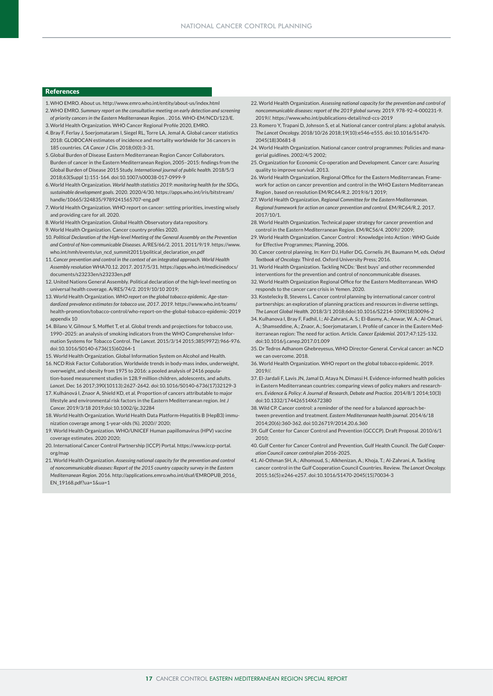#### References

- 1.WHO EMRO. About us. http://www.emro.who.int/entity/about-us/index.html
- 2.WHO EMRO. *Summary report on the consultative meeting on early detection and screening of priority cancers in the Eastern Mediterranean Region.* . 2016. WHO-EM/NCD/123/E. 3.World Health Organization. WHO Cancer Regional Profile 2020, EMRO.
- 4.Bray F, Ferlay J, Soerjomataram I, Siegel RL, Torre LA, Jemal A. Global cancer statistics 2018: GLOBOCAN estimates of incidence and mortality worldwide for 36 cancers in 185 countries. *CA Cancer J Clin.* 2018;0(0):3-31.
- 5.Global Burden of Disease Eastern Mediterranean Region Cancer Collaborators. Burden of cancer in the Eastern Mediterranean Region, 2005–2015: findings from the Global Burden of Disease 2015 Study. *International journal of public health.* 2018/5/3 2018;63(Suppl 1):151-164. doi:10.1007/s00038-017-0999-9
- 6.World Health Organization. *World health statistics 2019: monitoring health for the SDGs, sustainable development goals.* 2020. 2020/4/30. https://apps.who.int/iris/bitstream/ handle/10665/324835/9789241565707-eng.pdf
- 7.World Health Organization. WHO report on cancer: setting priorities, investing wisely and providing care for all. 2020.
- 8.World Health Organization. Global Health Observatory data repository.
- 9.World Health Organization. Cancer country profiles 2020.
- 10. *Political Declaration of the High-level Meeting of the General Assembly on the Prevention and Control of Non-communicable Diseases.* A/RES/66/2. 2011. 2011/9/19. https://www. who.int/nmh/events/un\_ncd\_summit2011/political\_declaration\_en.pdf
- 11. *Cancer prevention and control in the context of an integrated approach. World Health Assembly resolution* WHA70.12. 2017. 2017/5/31. https://apps.who.int/medicinedocs/ documents/s23233en/s23233en.pdf
- 12. United Nations General Assembly. Political declaration of the high-level meeting on universal health coverage. A/RES/74/2. 2019/10/10 2019;
- 13. World Health Organization. *WHO report on the global tobacco epidemic. Age-standardized prevalence estimates for tobacco use, 2017. 2019.* https://www.who.int/teams/ health-promotion/tobacco-control/who-report-on-the-global-tobacco-epidemic-2019 appendix 10
- 14. Bilano V, Gilmour S, Moffiet T, et al. Global trends and projections for tobacco use, 1990–2025: an analysis of smoking indicators from the WHO Comprehensive Information Systems for Tobacco Control. *The Lancet.* 2015/3/14 2015;385(9972):966-976. doi:10.1016/S0140-6736(15)60264-1
- 15. World Health Organization. Global Information System on Alcohol and Health.
- 16. NCD Risk Factor Collaboration. Worldwide trends in body-mass index, underweight, overweight, and obesity from 1975 to 2016: a pooled analysis of 2416 population-based measurement studies in 128.9 million children, adolescents, and adults. *Lancet*. Dec 16 2017;390(10113):2627-2642. doi:10.1016/S0140-6736(17)32129-3
- 17. Kulhánová I, Znaor A, Shield KD, et al. Proportion of cancers attributable to major lifestyle and environmental risk factors in the Eastern Mediterranean region. *Int J Cancer.* 2019/3/18 2019;doi:10.1002/ijc.32284
- 18. World Health Organization. World Health Data Platform-Hepatitis B (HepB3) immunization coverage among 1-year-olds (%). 2020// 2020;
- 19. World Health Organization. WHO/UNICEF Human papillomavirus (HPV) vaccine coverage estimates. 2020 2020;
- 20. International Cancer Control Partnership (ICCP) Portal. https://www.iccp-portal. org/map
- 21. World Health Organization. *Assessing national capacity for the prevention and control of noncommunicable diseases: Report of the 2015 country capacity survey in the Eastern Mediterranean Region.* 2016. http://applications.emro.who.int/dsaf/EMROPUB\_2016\_ EN\_19168.pdf?ua=1&ua=1
- 22. World Health Organization. *Assessing national capacity for the prevention and control of noncommunicable diseases: report of the 2019 global survey.* 2019. 978-92-4-000231-9. 2019//. https://www.who.int/publications-detail/ncd-ccs-2019
- 23. Romero Y, Trapani D, Johnson S, et al. National cancer control plans: a global analysis. *The Lancet Oncology.* 2018/10/26 2018;19(10):e546-e555. doi:10.1016/S1470- 2045(18)30681-8
- 24. World Health Organization. National cancer control programmes: Policies and managerial guidlines. 2002/4/5 2002;
- 25. Organization for Economic Co-operation and Development. Cancer care: Assuring quality to improve survival. 2013.
- 26. World Health Organization, Regional Office for the Eastern Mediterranean. Framework for action on cancer prevention and control in the WHO Eastern Mediterranean Region , based on resolution EM/RC64/R.2. 2019/6/1 2019;
- 27. World Health Organization, *Regional Committee for the Eastern Mediterranean. Regional framework for action on cancer prevention and control.* EM/RC64/R.2. 2017. 2017/10/1.
- 28. World Health Organization. Technical paper strategy for cancer prevention and control in the Eastern Mediterranean Region. EM/RC56/4. 2009// 2009;
- 29. World Health Organization. Cancer Control : Knowledge into Action : WHO Guide for Effective Programmes; Planning, 2006.
- 30. Cancer control planning. In: Kerr DJ, Haller DG, Cornelis JH, Baumann M, eds. *Oxford Textbook of Oncology.* Third ed. Oxford University Press; 2016.
- 31. World Health Organization. Tackling NCDs: 'Best buys' and other recommended interventions for the prevention and control of noncommunicable diseases.
- 32. World Health Organization Regional Office for the Eastern Mediterranean. WHO responds to the cancer care crisis in Yemen. 2020.
- 33. Kostelecky B, Stevens L. Cancer control planning by international cancer control partnerships: an exploration of planning practices and resources in diverse settings. *The Lancet Global Health.* 2018/3/1 2018;6doi:10.1016/S2214-109X(18)30096-2
- 34. Kulhanova I, Bray F, Fadhil, I.; Al-Zahrani, A. S.; El-Basmy, A.; Anwar, W. A.; Al-Omari, A.; Shamseddine, A.; Znaor, A.; Soerjomataram, I. Profile of cancer in the Eastern Mediterranean region: The need for action. Article. *Cancer Epidemiol.* 2017;47:125-132. doi:10.1016/j.canep.2017.01.009
- 35. Dr Tedros Adhanom Ghebreyesus, WHO Director-General. Cervical cancer: an NCD we can overcome. 2018.
- 36. World Health Organization. WHO report on the global tobacco epidemic. 2019. 2019//
- 37. El-Jardali F, Lavis JN, Jamal D, Ataya N, Dimassi H. Evidence-informed health policies in Eastern Mediterranean countries: comparing views of policy makers and researchers. *Evidence & Policy: A Journal of Research, Debate and Practice.* 2014/8/1 2014;10(3) doi:10.1332/174426514X672380
- 38. Wild CP. Cancer control: a reminder of the need for a balanced approach between prevention and treatment. *Eastern Mediterranean health journal.* 2014/6/18 2014;20(6):360-362. doi:10.26719/2014.20.6.360
- 39. Gulf Center for Cancer Control and Prevention (GCCCP). Draft Proposal. 2010/6/1 2010;
- 40. Gulf Center for Cancer Control and Prevention, Gulf Health Council. *The Gulf Cooperation Council cancer control plan* 2016-2025.
- 41. Al-Othman SH, A.; Alhomoud, S.; Alkhenizan, A.; Khoja, T.; Al-Zahrani, A. Tackling cancer control in the Gulf Cooperation Council Countries. Review. *The Lancet Oncology.*  2015;16(5):e246-e257. doi:10.1016/S1470-2045(15)70034-3